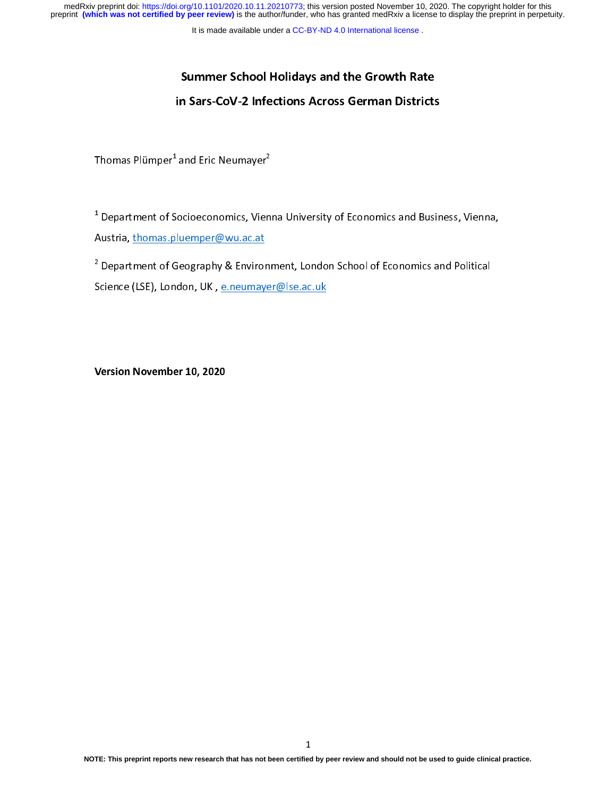medRxiv preprint doi: [https://doi.org/10.1101/2020.10.11.20210773;](https://doi.org/10.1101/2020.10.11.20210773) this version posted November 10, 2020. The copyright holder for this<br>preprint (which was not certified by peer review) is the author/funder, who has grante

It is made available under a [CC-BY-ND 4.0 International license](http://creativecommons.org/licenses/by-nd/4.0/) .

# Summer School Holidays and the Growth Rate in Sars-CoV-2 Infections Across German Districts

Thomas Plümper\* and Eric Neumayer<sup>s</sup><br>————————————————————

 $\overline{1}$  $1$  Department of Socioeconomics, Vienna University of Economics and Business, Vienna, Austria, thomas.pluemper@wu.ac.at  $\frac{1}{\sqrt{2}}$ 

2  $\begin{bmatrix} 1 & 0 & 0 \ 0 & 0 & 0 \end{bmatrix}$  of  $\begin{bmatrix} 0 & 0 \ 0 & 1 \end{bmatrix}$  of Eq.  $\begin{bmatrix} 0 & 0 \ 0 & 0 \end{bmatrix}$  of Eq.  $\begin{bmatrix} 0 & 0 \ 0 & 0 \end{bmatrix}$  of Eq.  $\begin{bmatrix} 0 & 0 \ 0 & 0 \end{bmatrix}$  of Eq.  $\begin{bmatrix} 0 & 0 \ 0 & 0 \end{bmatrix}$  of  $\begin{bmatrix} 0 & 0 \ 0 & 0 \end{bmatrix}$  $\sum_{k=1}^{N}$ 

Version November 10, 2020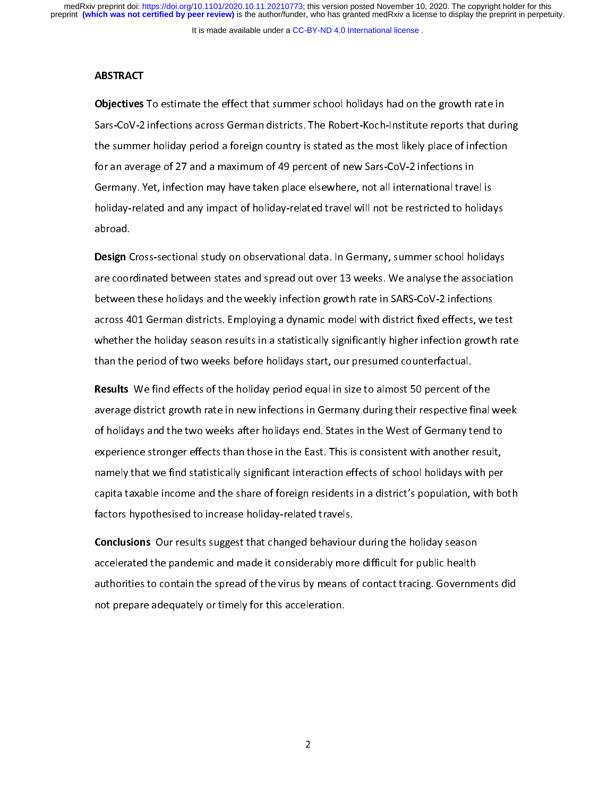# **ABSTRACT**

Objectives To estimate the effect that summer school holidays had on the growth rate in<br>Sars-CoV-2 infections across German districts. The Robert-Koch-Institute reports that during the summer holiday period a foreign country is stated as the most likely place of infection for an average of 27 and a maximum of 49 percent of new Sars-CoV-2 infections in Germany. Yet, infection may have taken place elsewhere, not all international travel is holiday-related and any impact of holiday-related travel will not be restricted to holidays holiday-related and any impact of holiday-related travel will not be related to holidays and the restricted to h<br>abroad.

Design Cross-sectional study on observational data. In Germany, summer school holidays<br>are coordinated between states and spread out over 13 weeks. We analyse the association between these holidays and the weekly infection growth rate in SARS-CoV-2 infections across 401 German districts. Employing a dynamic model with district fixed effects, we test whether the holiday season results in a statistically significantly higher infection growth rate than the period of two weeks before holidays start, our presumed counterfactual. than the period of two weeks before holidays start, our presumed counterfactual.

Results We find effects of the holiday period equal in size to almost 50 percent of the<br>average district growth rate in new infections in Germany during their respective final week of holidays and the two weeks after holidays end. States in the West of Germany tend to experience stronger effects than those in the East. This is consistent with another result, namely that we find statistically significant interaction effects of school holidays with per capita taxable income and the share of foreign residents in a district's population, with both factors hypothesised to increase holiday-related travels. factors hypothesised to increase holiday-related travels.

**Conclusions** Our results suggest that changed behaviour during the holiday season<br>accelerated the pandemic and made it considerably more difficult for public health authorities to contain the spread of the virus by means of contact tracing. Governments did not prepare adequately or timely for this acceleration. not prepare adequately or timely for this acceleration.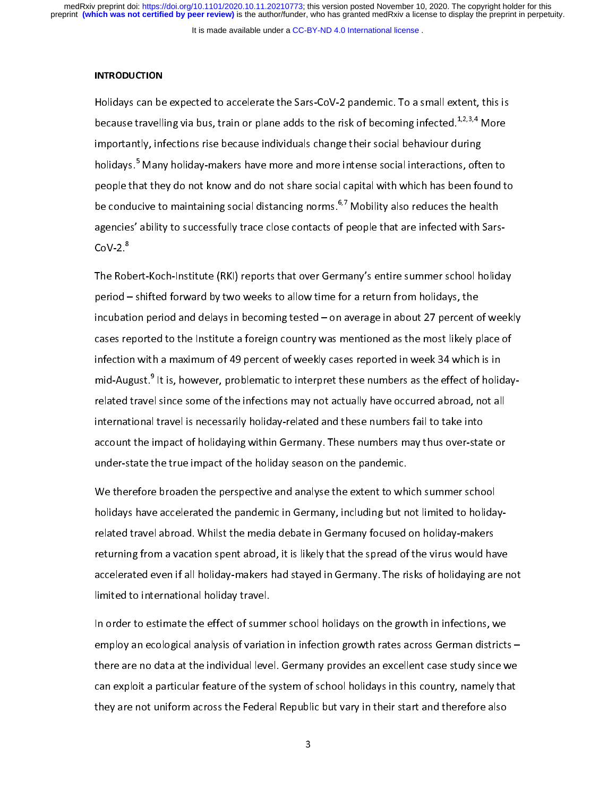It is made available under a [CC-BY-ND 4.0 International license](http://creativecommons.org/licenses/by-nd/4.0/) .

#### **INTRODUCTION**

Holidays can be expected to accelerate the Sars-CoV-2 pandemic. To a small extent, this is<br>because travelling via bus, train or plane adds to the risk of becoming infected.<sup>1,2,3,4</sup> More importantly, infections rise because individuals change their social behaviour during holidays.<sup>5</sup> Many holiday-makers have more and more intense social interactions, often to holidays.~ Many holiday-makers have more and more intense social interactions, often to<br>neonle that thev do not know and do not share social canital with which has been found t be conducive to maintaining social distancing norms.<sup>6,7</sup> Mobility also reduces the health agencies' ability to successfully trace close contacts of people that are infected with Sars- $\text{COV-2}$ <sup>8</sup> CoV-2.<sup>8</sup><br>The Robert-Koch-Institute (RKI) reports that over Germany's entire summer school holiday

period - shifted forward by two weeks to allow time for a return from holidays, the incubation period and delays in becoming tested  $-$  on average in about 27 percent of weekly cases reported to the Institute a foreign country was mentioned as the most likely place of infection with a maximum of 49 percent of weekly cases reported in week 34 which is in mid-August.<sup>9</sup> It is, however, problematic to interpret these numbers as the effect of holidaymid-August.~ It is, however, problematic to interpret these numbers as the effect of holiday-<br>related travel since some of the infections mav not actuallv have occurred abroad. not all international travel is necessarily holiday-related and these numbers fail to take into account the impact of holidaying within Germany. These numbers may thus over-state or under-state the true impact of the holiday season on the pandemic.  $\mathbf{u} = \mathbf{u} \cdot \mathbf{v}$  the true impact of the pandemic. The pandemic  $\mathbf{v}$ 

We therefore broaden the perspective and analyse the extent to which summer school<br>holidays have accelerated the pandemic in Germany, including but not limited to holidayrelated travel abroad. Whilst the media debate in Germany focused on holiday-makers returning from a vacation spent abroad, it is likely that the spread of the virus would have accelerated even if all holiday-makers had stayed in Germany. The risks of holidaying are not limited to international holiday travel. limited to international holiday travel.

In order to estimate the effect of summer school holidays on the growth in infections, we<br>employ an ecological analysis of variation in infection growth rates across German districts – there are no data at the individual level. Germany provides an excellent case study since we can exploit a particular feature of the system of school holidays in this country, namely that they are not uniform across the Federal Republic but vary in their start and therefore also  $t$  are not uniform across the Federal Republic but  $\mu$  in the start and the following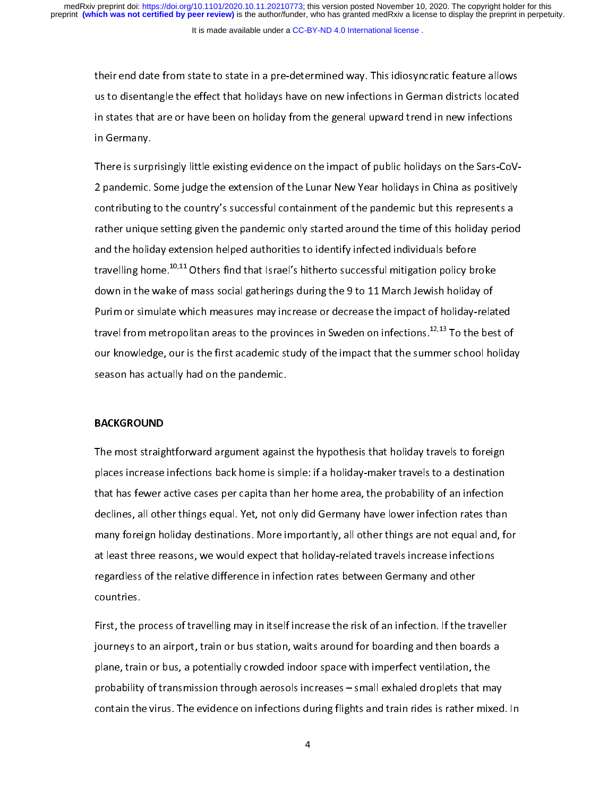their end date from state to state in a pre-determined way. This idiosyncratic feature allows in states that are or have been on holiday from the general upward trend in new infections in states that are or have been on holiday from the general upward trend in new infections in Germany.

2 pandemic. Some judge the extension of the Lunar New Year holidays in China as positively contributing to the country's successful containment of the pandemic but this represents a rather unique setting given the pandemic only started around the time of this holiday period and the holiday extension helped authorities to identify infected individuals before travelling home.<sup>10,11</sup> Others find that Israel's hitherto successful mitigation policy broke down in the wake of mass social gatherings during the 9 to 11 March Jewish holiday of Purim or simulate which measures may increase or decrease the impact of holiday-related travel from metropolitan areas to the provinces in Sweden on infections.  $^{12,13}$  To the best of our knowledge, our is the first academic study of the impact that the summer school holiday season has actually had on the pandemic. season has actually had on the pandemic.

## BACKGROUND

The most straightforward argument against the hypothesis that holiday travels to foreign<br>places increase infections back home is simple: if a holiday-maker travels to a destination that has fewer active cases per capita than her home area, the probability of an infection declines, all other things equal. Yet, not only did Germany have lower infection rates than many foreign holiday destinations. More importantly, all other things are not equal and, for at least three reasons, we would expect that holiday-related travels increase infections regardless of the relative difference in infection rates between Germany and other regardless of the relative difference in infection rates between Germany and other products between Germany and other products between Germany and other products between Germany and other products between Germany and other

First, the process of travelling may in itself increase the risk of an infection. If the traveller plane, train or bus, a potentially crowded indoor space with imperfect ventilation, the probability of transmission through aerosols increases - small exhaled droplets that may contain the virus. The evidence on infections during flights and train rides is rather mixed. In contain the virus. The evidence on infections during flights and train rides is rather mixed. In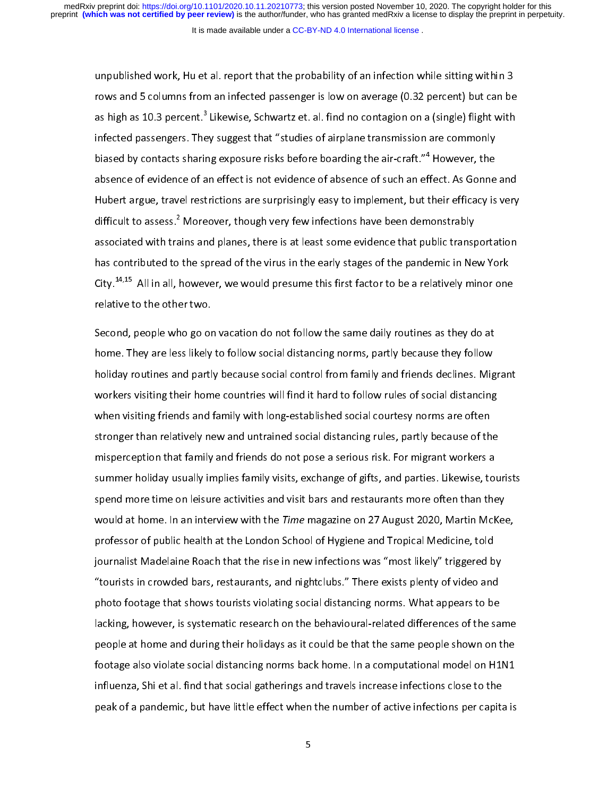#### It is made available under a [CC-BY-ND 4.0 International license](http://creativecommons.org/licenses/by-nd/4.0/) .

unpublished work, Hu et al. report that the probability of an infection while sitting within 3<br>rows and 5 columns from an infected passenger is low on average (0.32 percent) but can be as high as 10.3 percent.<sup>3</sup> Likewise, Schwartz et. al. find no contagion on a (single) flight with as high as 10.3 percent.~ Likewise, Schwartz et. al. find no contagion on a (single) flight with<br>infected passengers. Thev suggest that "studies of airplane transmission are commonlv biased by contacts sharing exposure risks before boarding the air-craft." $4$  However, the biased by contacts sharing exposure risks before boarding the air-craft."\* However, the<br>absence of evidence of an effect is not evidence of absence of such an effect. As Gonne Hubert argue, travel restrictions are surprisingly easy to implement, but their efficacy is very difficult to assess.<sup>2</sup> Moreover, though very few infections have been demonstrably difficult to assess.\* Moreover, though very few infections have been demonstrably<br>associated with trains and planes, there is at least some evidence that public transr has contributed to the spread of the virus in the early stages of the pandemic in New York  $\text{Citv.}^\text{14,15}$  All in all. however, we would presume this first factor to be a relatively minor one City.<sup>14,15</sup> All in all, however, we would presume this first factor to be a relatively minor one<br>relative to the other two.

Second, people who go on vacation do not follow the same daily routines as they do at<br>home. They are less likely to follow social distancing norms, partly because they follow holiday routines and partly because social control from family and friends declines. Migrant workers visiting their home countries will find it hard to follow rules of social distancing when visiting friends and family with long-established social courtesy norms are often stronger than relatively new and untrained social distancing rules, partly because of the misperception that family and friends do not pose a serious risk. For migrant workers a summer holiday usually implies family visits, exchange of gifts, and parties. Likewise, tourists spend more time on leisure activities and visit bars and restaurants more often than they would at home. In an interview with the Time magazine on 27 August 2020, Martin McKee, professor of public health at the London School of Hygiene and Tropical Medicine, told journalist Madelaine Roach that the rise in new infections was "most likely" triggered by "tourists in crowded bars, restaurants, and nightclubs." There exists plenty of video and photo footage that shows tourists violating social distancing norms. What appears to be lacking, however, is systematic research on the behavioural-related differences of the same people at home and during their holidays as it could be that the same people shown on the footage also violate social distancing norms back home. In a computational model on H1N1 influenza, Shi et al. find that social gatherings and travels increase infections close to the peak of a pandemic, but have little effect when the number of active infections per capita is peak of a pandemic, but have little effect when the number of active infections per capital is not active infections per capital is not active infections per capital is not active infections per capital is not active infec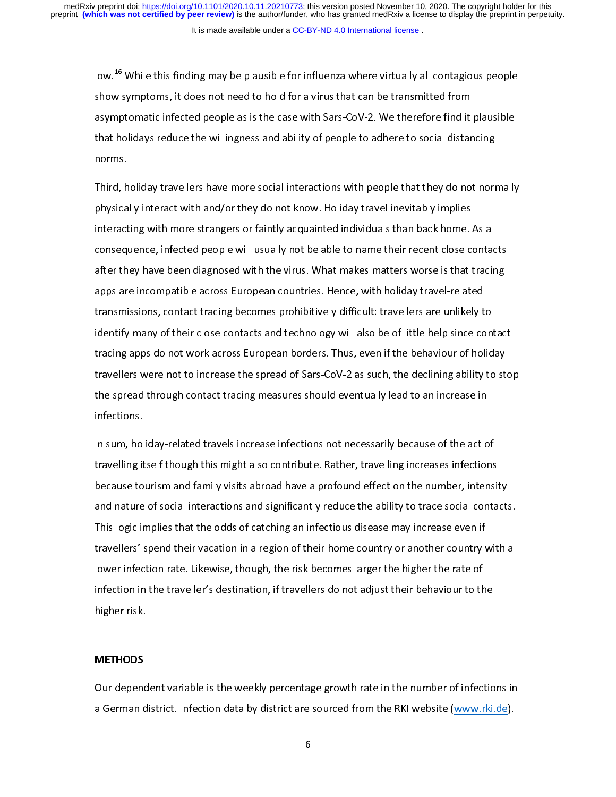It is made available under a [CC-BY-ND 4.0 International license](http://creativecommons.org/licenses/by-nd/4.0/) .

low.<sup>16</sup> While this finding may be plausible for influenza where virtually all contagious people<br>show symptoms, it does not need to hold for a virus that can be transmitted from asymptomatic infected people as is the case with Sars-CoV-2. We therefore find it plausible that holidays reduce the willingness and ability of people to adhere to social distancing that holidays reduce the willingness and ability of people to adhere to social distancing of people to social distancing of people to adhere to adhere to adhere to social distancing of people to adhere to social distancing

Third, holiday travellers have more social interactions with people that they do not normally<br>physically interact with and/or they do not know. Holiday travel inevitably implies interacting with more strangers or faintly acquainted individuals than back home. As a consequence, infected people will usually not be able to name their recent close contacts after they have been diagnosed with the virus. What makes matters worse is that tracing apps are incompatible across European countries. Hence, with holiday travel-related transmissions, contact tracing becomes prohibitively difficult: travellers are unlikely to identify many of their close contacts and technology will also be of little help since contact tracing apps do not work across European borders. Thus, even if the behaviour of holiday travellers were not to increase the spread of Sars-CoV-2 as such, the declining ability to stop the spread through contact tracing measures should eventually lead to an increase in  $t_{\rm r}$  through contact tracing measures shown infections.

In sum, holiday-related travels increase infections not necessarily because of the act of<br>travelling itself though this might also contribute. Rather, travelling increases infections because tourism and family visits abroad have a profound effect on the number, intensity and nature of social interactions and significantly reduce the ability to trace social contacts. This logic implies that the odds of catching an infectious disease may increase even if travellers' spend their vacation in a region of their home country or another country with a lower infection rate. Likewise, though, the risk becomes larger the higher the rate of infection in the traveller's destination, if travellers do not adjust their behaviour to the infection in the traveller  $\mathcal{L}$  destination, if the travellers do not adjust the travellers do not adjust the travellers do not adjust the travellers do not adjust the travellers do not adjust the travellers of the tr higher risk.

### **METHODS**

Our dependent variable is the weekly percentage growth rate in the number of infections in<br>a German district. Infection data by district are sourced from the RKI website (www.rki.de). a German district. In fection data by district are sourced from the RKI website  $\frac{N_{\rm max,max}}{N_{\rm max,max}}$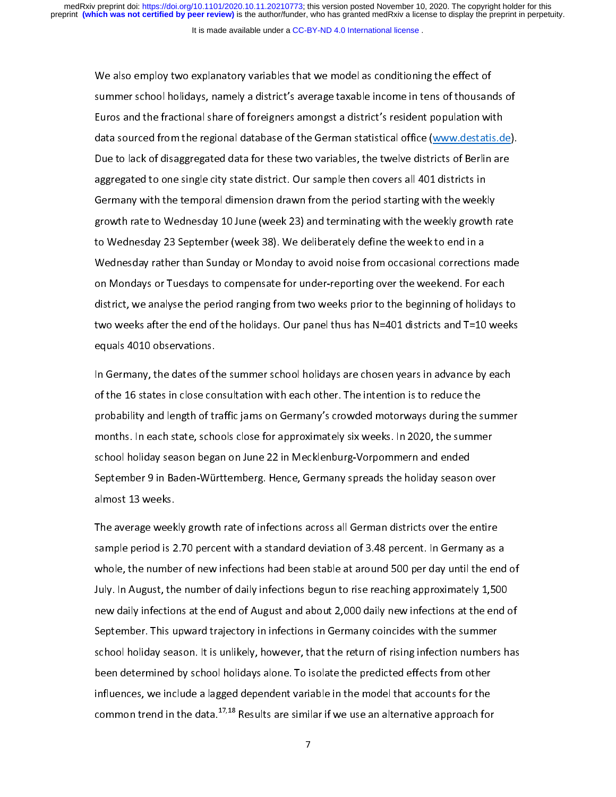#### It is made available under a [CC-BY-ND 4.0 International license](http://creativecommons.org/licenses/by-nd/4.0/) .

We also employ two explanatory variables that we model as conditioning the effect of<br>summer school holidays, namely a district's average taxable income in tens of thousands of Euros and the fractional share of foreigners amongst a district's resident population with data sourced from the regional database of the German statistical office (www.destatis.de). Due to lack of disaggregated data for these two variables, the twelve districts of Berlin are aggregated to one single city state district. Our sample then covers all 401 districts in Germany with the temporal dimension drawn from the period starting with the weekly growth rate to Wednesday 10 June (week 23) and terminating with the weekly growth rate to Wednesday 23 September (week 38). We deliberately define the week to end in a Wednesday rather than Sunday or Monday to avoid noise from occasional corrections made on Mondays or Tuesdays to compensate for under-reporting over the weekend. For each district, we analyse the period ranging from two weeks prior to the beginning of holidays to two weeks after the end of the holidays. Our panel thus has  $N=401$  districts and T=10 weeks equals 4010 observations. equals 4010 observations.

In Germany, the dates of the summer school holidays are chosen years in advance by each<br>of the 16 states in close consultation with each other. The intention is to reduce the probability and length of traffic jams on Germany's crowded motorways during the summer months. In each state, schools close for approximately six weeks. In 2020, the summer school holiday season began on June 22 in Mecklenburg-Vorpommern and ended September 9 in Baden-Württemberg. Hence, Germany spreads the holiday season over September 9 in Baden-Württemberg. Hence, Germany spreads the holiday season over

The average weekly growth rate of infections across all German districts over the entire<br>sample period is 2.70 percent with a standard deviation of 3.48 percent. In Germany as a whole, the number of new infections had been stable at around 500 per day until the end of July. In August, the number of daily infections begun to rise reaching approximately 1,500 new daily infections at the end of August and about 2,000 daily new infections at the end of September. This upward trajectory in infections in Germany coincides with the summer school holiday season. It is unlikely, however, that the return of rising infection numbers has been determined by school holidays alone. To isolate the predicted effects from other influences, we include a lagged dependent variable in the model that accounts for the  $\mu$  indicates, we include a lagged dependent variable in the model that accounts for the common trend in the data.  $^{17,18}$  Results are similar if we use an alternative approach for common trend in the data.<sup>+7,18</sup> Results are similar if we use an alternative approach for<br>-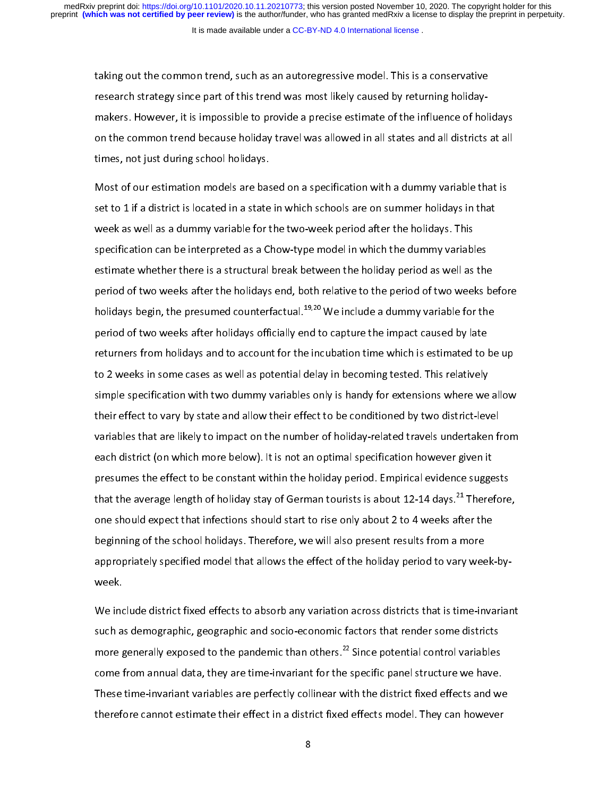taking out the common trend, such as an autoregressive model. This is a conservative<br>research strategy since part of this trend was most likely caused by returning holidaymakers. However, it is impossible to provide a precise estimate of the influence of holidays on the common trend because holiday travel was allowed in all states and all districts at all times, not just during school holidays. times, not just during school holidays.

Most of our estimation models are based on a specification with a dummy variable that is<br>set to 1 if a district is located in a state in which schools are on summer holidays in that week as well as a dummy variable for the two-week period after the holidays. This specification can be interpreted as a Chow-type model in which the dummy variables estimate whether there is a structural break between the holiday period as well as the period of two weeks after the holidays end, both relative to the period of two weeks before holidays begin, the presumed counterfactual.<sup>19,20</sup> We include a dummy variable for the period of two weeks after holidays officially end to capture the impact caused by late returners from holidays and to account for the incubation time which is estimated to be up to 2 weeks in some cases as well as potential delay in becoming tested. This relatively simple specification with two dummy variables only is handy for extensions where we allow their effect to vary by state and allow their effect to be conditioned by two district-level variables that are likely to impact on the number of holiday-related travels undertaken from each district (on which more below). It is not an optimal specification however given it presumes the effect to be constant within the holiday period. Empirical evidence suggests presumes the effect to be constanted within the holiday period. Enpiriod evidence suggests that the average length of holiday stay of German tourists is about 12-14 days.  $^{21}$  Therefore that the average length of holiday stay of German tourists is about 12-14 days.<sup>21</sup> Therefore,<br>one should expect that infections should start to rise only about 2 to 4 weeks after the one should expect that infections should start to rise only about 2 to 4 weeks after the<br>beginning of the school holidays. Therefore, we will also present results from a more appropriately specified model that allows the effect of the holiday period to vary week-byappropriately specified model that allows the effect of the holiday period to vary week-by-

We include district fixed effects to absorb any variation across districts that is time-invariant<br>such as demographic, geographic and socio-economic factors that render some districts more generally exposed to the pandemic than others.<sup>22</sup> Since potential control variables come from annual data, they are time-invariant for the specific panel structure we have. These time-invariant variables are perfectly collinear with the district fixed effects and we therefore cannot estimate their effect in a district fixed effects model. They can however therefore cannot estimate their effect in a distribution effect in a distribution  $\mathcal{F}_{\mathcal{F}}$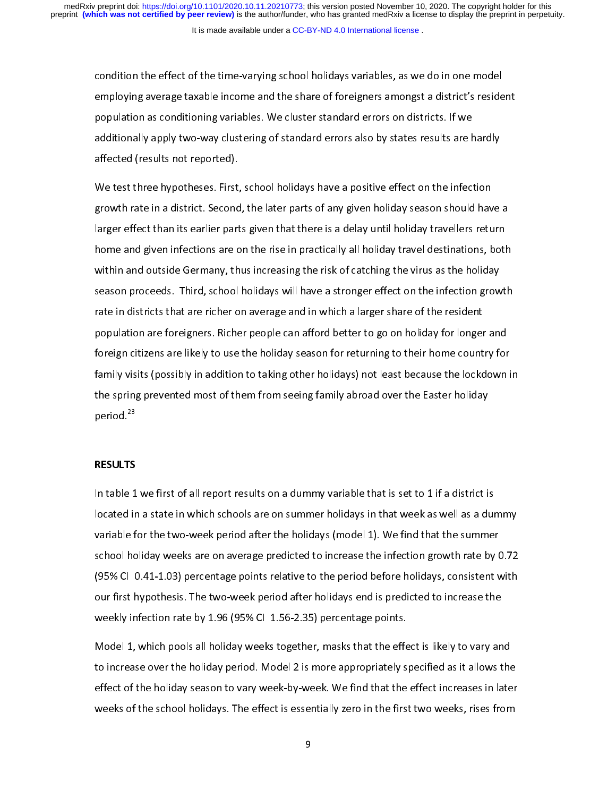condition the effect of the time-varying school holidays variables, as we do in one model<br>employing average taxable income and the share of foreigners amongst a district's resident population as conditioning variables. We cluster standard errors on districts. If we additionally apply two-way clustering of standard errors also by states results are hardly affected (results not reported). affected (results not reported).

We test three hypotheses. First, school holidays have a positive effect on the infection<br>growth rate in a district. Second, the later parts of any given holiday season should have a larger effect than its earlier parts given that there is a delay until holiday travellers return home and given infections are on the rise in practically all holiday travel destinations, both within and outside Germany, thus increasing the risk of catching the virus as the holiday season proceeds. Third, school holidays will have a stronger effect on the infection growth rate in districts that are richer on average and in which a larger share of the resident population are foreigners. Richer people can afford better to go on holiday for longer and foreign citizens are likely to use the holiday season for returning to their home country for family visits (possibly in addition to taking other holidays) not least because the lockdown in the spring prevented most of them from seeing family abroad over the Easter holiday  $t_{\rm{ref}}$  of the spring family above the Easter holiday  $\frac{1}{2}$  abroad  $\frac{1}{2}$ period.<sup>23</sup>

# RESULTS

In table 1 we first of all report results on a dummy variable that is set to 1 if a district is<br>located in a state in which schools are on summer holidays in that week as well as a dummy variable for the two-week period after the holidays (model 1). We find that the summer school holiday weeks are on average predicted to increase the infection growth rate by 0.72  $(95\%$  CI 0.41-1.03) percentage points relative to the period before holidays, consistent with our first hypothesis. The two-week period after holidays end is predicted to increase the weekly infection rate by 1.96 (95% CI 1.56-2.35) percentage points. we have the  $\mathcal{L}$  infection rate by  $\mathcal{L}$ .

Model 1, which pools all holiday weeks together, masks that the effect is likely to vary and<br>to increase over the holiday period. Model 2 is more appropriately specified as it allows the effect of the holiday season to vary week-by-week. We find that the effect increases in later weeks of the school holidays. The effect is essentially zero in the first two weeks, rises from we have school holidays. The school holiday  $\mathcal{L}$  is essentially zero in the first two weeks, rises from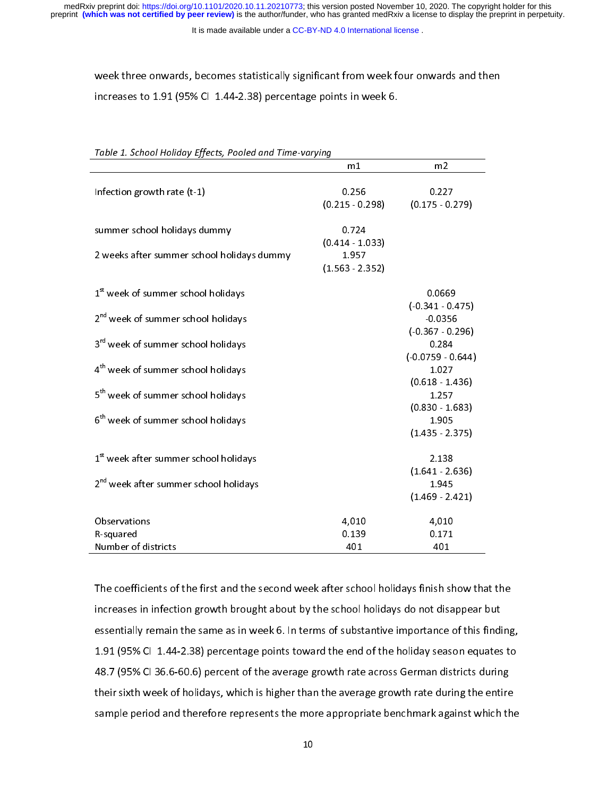It is made available under a [CC-BY-ND 4.0 International license](http://creativecommons.org/licenses/by-nd/4.0/) .

week three onwards, becomes statistically significant from week four onwards and then<br>increases to 1.91 (95% CI-1.44-2.38) percentage points in week 6. increases to  $1.91$  (95% CI 1.44-2.38) percentage points in week 6.44-2.38) percentage points in week 6.44-2.38

| Table 1. School Hollaay Effects, Poolea and Time-varying |                   |                    |  |  |  |
|----------------------------------------------------------|-------------------|--------------------|--|--|--|
|                                                          | m1                | m <sub>2</sub>     |  |  |  |
|                                                          |                   |                    |  |  |  |
| Infection growth rate $(t-1)$                            | 0.256             | 0.227              |  |  |  |
|                                                          | $(0.215 - 0.298)$ | $(0.175 \t 0.279)$ |  |  |  |
|                                                          |                   |                    |  |  |  |
| summer school holidays dummy                             | 0.724             |                    |  |  |  |
|                                                          | $(0.414 - 1.033)$ |                    |  |  |  |
| 2 weeks after summer school holidays dummy               | 1.957             |                    |  |  |  |
|                                                          | $(1.563 - 2.352)$ |                    |  |  |  |
| 1 <sup>st</sup> week of summer school holidays           |                   | 0.0669             |  |  |  |
|                                                          |                   | $(-0.341 - 0.475)$ |  |  |  |
| 2 <sup>nd</sup> week of summer school holidays           |                   | 0.0356             |  |  |  |
|                                                          |                   | $(0.367 - 0.296)$  |  |  |  |
| 3 <sup>rd</sup> week of summer school holidays           |                   | 0.284              |  |  |  |
|                                                          |                   | $(0.0759 - 0.644)$ |  |  |  |
| 4 <sup>th</sup> week of summer school holidays           |                   | 1.027              |  |  |  |
|                                                          |                   | $(0.618 - 1.436)$  |  |  |  |
| 5 <sup>th</sup> week of summer school holidays           |                   | 1.257              |  |  |  |
|                                                          |                   | $(0.830 - 1.683)$  |  |  |  |
| 6 <sup>th</sup> week of summer school holidays           |                   | 1.905              |  |  |  |
|                                                          |                   | $(1.435 \t2.375)$  |  |  |  |
|                                                          |                   |                    |  |  |  |
| 1 <sup>st</sup> week after summer school holidays        |                   | 2.138              |  |  |  |
|                                                          |                   | $(1.641 - 2.636)$  |  |  |  |
| 2 <sup>nd</sup> week after summer school holidays        |                   | 1.945              |  |  |  |
|                                                          |                   | $(1.469 - 2.421)$  |  |  |  |
| Observations                                             | 4,010             | 4,010              |  |  |  |
| R-squared                                                | 0.139             | 0.171              |  |  |  |
| Number of districts                                      | 401               | 401                |  |  |  |
|                                                          |                   |                    |  |  |  |

Table 1, School Holiday Effects, Rooled and Time vanuing

The coefficients of the first and the second week after school holidays finish show that the<br>increases in infection growth brought about by the school holidays do not disappear but essentially remain the same as in week 6. In terms of substantive importance of this finding, 1.91 (95% CI 1.44-2.38) percentage points toward the end of the holiday season equates to 48.7 (95% CI 36.6-60.6) percent of the average growth rate across German districts during their sixth week of holidays, which is higher than the average growth rate during the entire sample period and therefore represents the more appropriate benchmark against which the sample period and therefore represents the more appropriate benchmark against which the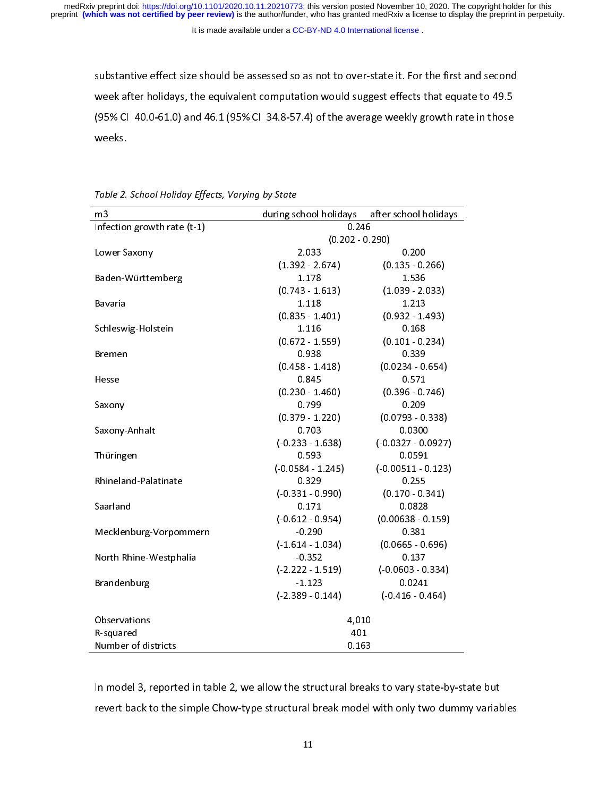It is made available under a [CC-BY-ND 4.0 International license](http://creativecommons.org/licenses/by-nd/4.0/) .

substantive effect size should be assessed so as not to over-state it. For the first and second<br>week after holidays, the equivalent computation would suggest effects that equate to 49.5 (95% CI 40.0-61.0) and 46.1 (95% CI 34.8-57.4) of the average weekly growth rate in those (95% CI 40.0-61.0-61.1) and 46.1 (95% CI 34.8-57%) CI 34.8-57.59. The average weeks.

| m3                          | during school holidays | after school holidays |  |  |
|-----------------------------|------------------------|-----------------------|--|--|
| Infection growth rate (t-1) |                        | 0.246                 |  |  |
|                             |                        | $(0.202 - 0.290)$     |  |  |
| Lower Saxony                | 2.033                  | 0.200                 |  |  |
|                             | $(1.392 - 2.674)$      | $(0.135 - 0.266)$     |  |  |
| Baden-Württemberg           | 1.178                  | 1.536                 |  |  |
|                             | $(0.743 - 1.613)$      | $(1.039 - 2.033)$     |  |  |
| Bavaria                     | 1.118                  | 1.213                 |  |  |
|                             | $(0.835 - 1.401)$      | $(0.932 - 1.493)$     |  |  |
| Schleswig-Holstein          | 1.116                  | 0.168                 |  |  |
|                             | $(0.672 - 1.559)$      | $(0.101 - 0.234)$     |  |  |
| Bremen                      | 0.938                  | 0.339                 |  |  |
|                             | $(0.458 - 1.418)$      | $(0.0234 - 0.654)$    |  |  |
| Hesse                       | 0.845                  | 0.571                 |  |  |
|                             | $(0.230 - 1.460)$      | $(0.396 - 0.746)$     |  |  |
| Saxony                      | 0.799                  | 0.209                 |  |  |
|                             | $(0.379 - 1.220)$      | $(0.0793 - 0.338)$    |  |  |
| Saxony-Anhalt               | 0.703                  | 0.0300                |  |  |
|                             | $(-0.233 - 1.638)$     | $(-0.0327 - 0.0927)$  |  |  |
| Thüringen                   | 0.593                  | 0.0591                |  |  |
|                             | $(-0.0584 - 1.245)$    | $(-0.00511 - 0.123)$  |  |  |
| Rhineland-Palatinate        | 0.329                  | 0.255                 |  |  |
|                             | $(-0.331 - 0.990)$     | $(0.170 - 0.341)$     |  |  |
| Saarland                    | 0.171                  | 0.0828                |  |  |
|                             | $(-0.612 - 0.954)$     | $(0.00638 - 0.159)$   |  |  |
| Mecklenburg-Vorpommern      | $-0.290$               | 0.381                 |  |  |
|                             | $(-1.614 - 1.034)$     | $(0.0665 - 0.696)$    |  |  |
| North Rhine-Westphalia      | $-0.352$               | 0.137                 |  |  |
|                             | $(-2.222 - 1.519)$     | $(-0.0603 - 0.334)$   |  |  |
| Brandenburg                 | $-1.123$               | 0.0241                |  |  |
|                             | $(-2.389 - 0.144)$     | $(-0.416 - 0.464)$    |  |  |
| Observations                | 4,010                  |                       |  |  |
| R-squared                   | 401                    |                       |  |  |
| <b>Number of districts</b>  | 0.163                  |                       |  |  |

Table 2. School Holiday Effects, Varying by State

In model 3, reported in table 2, we also in the structural and state-book, state-by-state-but<br>In table 2, we also to vary state but to vary state but the state but to vary state but the state but the simple revert back to the simple Chow-type structural break model with only two dummy variables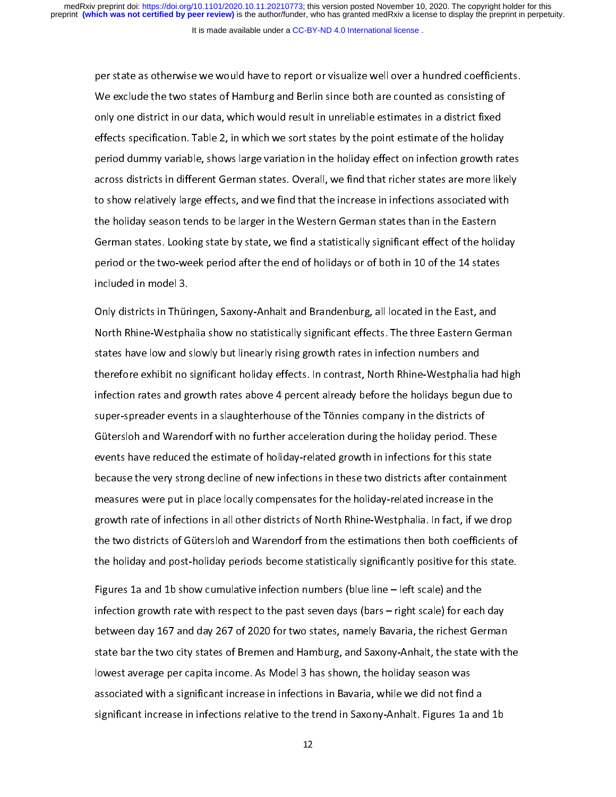per state as otherwise we would have to report or visualize well over a hundred coefficients.<br>We exclude the two states of Hamburg and Berlin since both are counted as consisting of only one district in our data, which would result in unreliable estimates in a district fixed effects specification. Table 2, in which we sort states by the point estimate of the holiday period dummy variable, shows large variation in the holiday effect on infection growth rates across districts in different German states. Overall, we find that richer states are more likely to show relatively large effects, and we find that the increase in infections associated with the holiday season tends to be larger in the Western German states than in the Eastern German states. Looking state by state, we find a statistically significant effect of the holiday period or the two-week period after the end of holidays or of both in 10 of the 14 states period or the two-week period after the end of holidays or of holidays or of holidays or of the 11 of the 14 states or of the 14 states or of the 14 states or of the 14 states or of the 14 states or of the 14 states or of

Only districts in Thüringen, Saxony-Anhalt and Brandenburg, all located in the East, and states have low and slowly but linearly rising growth rates in infection numbers and therefore exhibit no significant holiday effects. In contrast, North Rhine-Westphalia had high infection rates and growth rates above 4 percent already before the holidays begun due to super-spreader events in a slaughterhouse of the Tönnies company in the districts of Gütersloh and Warendorf with no further acceleration during the holiday period. These events have reduced the estimate of holiday-related growth in infections for this state because the very strong decline of new infections in these two districts after containment measures were put in place locally compensates for the holiday-related increase in the growth rate of infections in all other districts of North Rhine-Westphalia. In fact, if we drop the two districts of Gütersloh and Warendorf from the estimations then both coefficients of the holiday and post-holiday periods become statistically significantly positive for this state. the holiday and post-holiday periods become statistically significantly positive for this state.

Figures 1a and 1b show cumulative infection numbers (blue line – left scale) and the between day 167 and day 267 of 2020 for two states, namely Bavaria, the richest German state bar the two city states of Bremen and Hamburg, and Saxony-Anhalt, the state with the lowest average per capita income. As Model 3 has shown, the holiday season was associated with a significant increase in infections in Bavaria, while we did not find a significant increase in infections relative to the trend in Saxony-Anhalt. Figures 1a and 1b significant increase in infections relative to the trend in Saxony-Anhalt. Figures 1a and 1b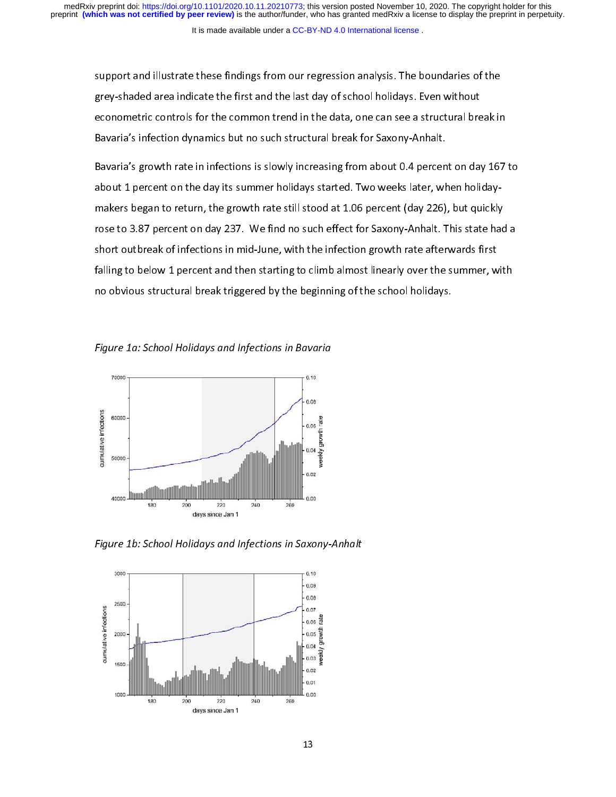support and illustrate these findings from our regression analysis. The boundaries of the<br>grey-shaded area indicate the first and the last day of school holidays. Even without econometric controls for the common trend in the data, one can see a structural break in Bavaria's infection dynamics but no such structural break for Saxony-Anhalt.

Bavaria's growth rate in infections is slowly increasing from about 0.4 percent on day 167 to about 1 percent on the day its summer holidays started. Two weeks later, when holidaymakers began to return, the growth rate still stood at 1.06 percent (day 226), but quickly rose to 3.87 percent on day 237. We find no such effect for Saxony-Anhalt. This state had a short outbreak of infections in mid-June, with the infection growth rate afterwards first falling to below 1 percent and then starting to climb almost linearly over the summer, with no obvious structural break triggered by the beginning of the school holidays.  $\sim$  obvious structural break triggered by the beginning of the school holidays.





Figure 1b: School Holidays and Infections in Saxony-Anhalt

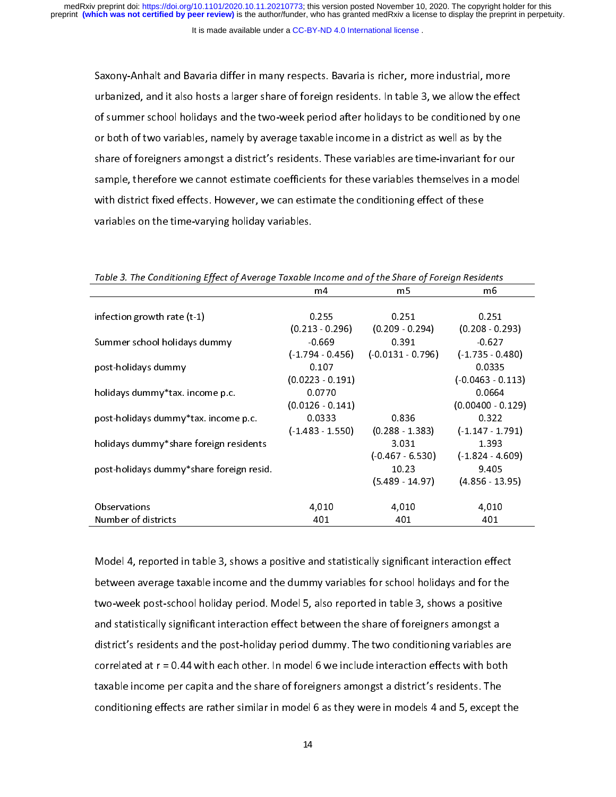It is made available under a [CC-BY-ND 4.0 International license](http://creativecommons.org/licenses/by-nd/4.0/) .

Saxony-Anhalt and Bavaria differ in many respects. Bavaria is richer, more industrial, more of summer school holidays and the two-week period after holidays to be conditioned by one or both of two variables, namely by average taxable income in a district as well as by the share of foreigners amongst a district's residents. These variables are time-invariant for our sample, therefore we cannot estimate coefficients for these variables themselves in a model with district fixed effects. However, we can estimate the conditioning effect of these variables on the time-varying holiday variables. variables on the time-varying holiday variables.

|                                          | m4                    | m <sub>5</sub>      | m6                    |
|------------------------------------------|-----------------------|---------------------|-----------------------|
|                                          |                       |                     |                       |
| infection growth rate $(t-1)$            | 0.255                 | 0.251               | 0.251                 |
|                                          | $(0.213 \cdot 0.296)$ | $(0.209 - 0.294)$   | $(0.208 - 0.293)$     |
| Summer school holidays dummy             | $-0.669$              | 0.391               | $-0.627$              |
|                                          | $(1.794 - 0.456)$     | $(-0.0131 - 0.796)$ | $(1.735 \cdot 0.480)$ |
| post-holidays dummy                      | 0.107                 |                     | 0.0335                |
|                                          | $(0.0223 - 0.191)$    |                     | $(0.0463 - 0.113)$    |
| holidays dummy *tax. income p.c.         | 0.0770                |                     | 0.0664                |
|                                          | $(0.0126 - 0.141)$    |                     | $(0.00400 - 0.129)$   |
| post-holidays dummy * tax. income p.c.   | 0.0333                | 0.836               | 0.322                 |
|                                          | $(1.483 - 1.550)$     | $(0.288 \t1.383)$   | $(1.147 \cdot 1.791)$ |
| holidays dummy*share foreign residents   |                       | 3.031               | 1.393                 |
|                                          |                       | $(-0.467 - 6.530)$  | $(1.824 - 4.609)$     |
| post-holidays dummy*share foreign resid. |                       | 10.23               | 9.405                 |
|                                          |                       | $(5.489 - 14.97)$   | $(4.856 - 13.95)$     |
|                                          |                       |                     |                       |
| Observations                             | 4,010                 | 4,010               | 4,010                 |
| Number of districts                      | 401                   | 401                 | 401                   |

Table 3. The Conditioning Effect of Average Taxable Income and of the Share of Foreign Residents

Model 4, reported in table 3, shows a positive and statistically significant interaction effect two-week post-school holiday period. Model 5, also reported in table 3, shows a positive and statistically significant interaction effect between the share of foreigners amongst a district's residents and the post-holiday period dummy. The two conditioning variables are correlated at  $r = 0.44$  with each other. In model 6 we include interaction effects with both taxable income per capita and the share of foreigners amongst a district's residents. The conditioning effects are rather similar in model 6 as they were in models 4 and 5, except the conditioning effects are rather similar in model 6 as they were in models 4 and 5, except the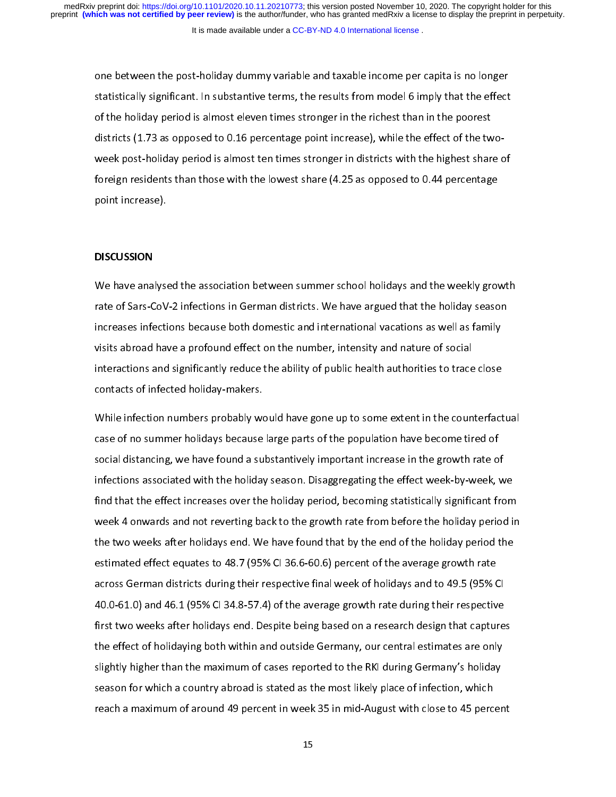one between the post-holiday dummy variable and taxable income per capita is no longer<br>statistically significant. In substantive terms, the results from model 6 imply that the effect of the holiday period is almost eleven times stronger in the richest than in the poorest districts (1.73 as opposed to 0.16 percentage point increase), while the effect of the twoweek post-holiday period is almost ten times stronger in districts with the highest share of foreign residents than those with the lowest share  $(4.25$  as opposed to 0.44 percentage foreign residents than those with the lowest share (4.25 as opposed to 0.44 percentage).<br>point increase). point increase).<br>The increase of the contract of the contract of the contract of the contract of the contract of the contract o

## DISCUSSION

We have analysed the association between summer school holidays and the weekly growth<br>rate of Sars-CoV-2 infections in German districts. We have argued that the holiday season increases infections because both domestic and international vacations as well as family visits abroad have a profound effect on the number, intensity and nature of social interactions and significantly reduce the ability of public health authorities to trace close contacts of infected holiday-makers. contacts of infected holiday-makers.

While infection numbers probably would have gone up to some extent in the counterfactual<br>case of no summer holidays because large parts of the population have become tired of social distancing, we have found a substantively important increase in the growth rate of infections associated with the holiday season. Disaggregating the effect week-by-week, we find that the effect increases over the holiday period, becoming statistically significant from week 4 onwards and not reverting back to the growth rate from before the holiday period in the two weeks after holidays end. We have found that by the end of the holiday period the estimated effect equates to 48.7 (95% CI 36.6-60.6) percent of the average growth rate across German districts during their respective final week of holidays and to 49.5 (95% CI 40.0-61.0) and 46.1 (95% CI 34.8-57.4) of the average growth rate during their respective first two weeks after holidays end. Despite being based on a research design that captures the effect of holidaying both within and outside Germany, our central estimates are only slightly higher than the maximum of cases reported to the RKI during Germany's holiday season for which a country abroad is stated as the most likely place of infection, which reach a maximum of around 49 percent in week 35 in mid-August with close to 45 percent reach a maximum of around 49 percent in week 35 in mid-August with close to 45 percent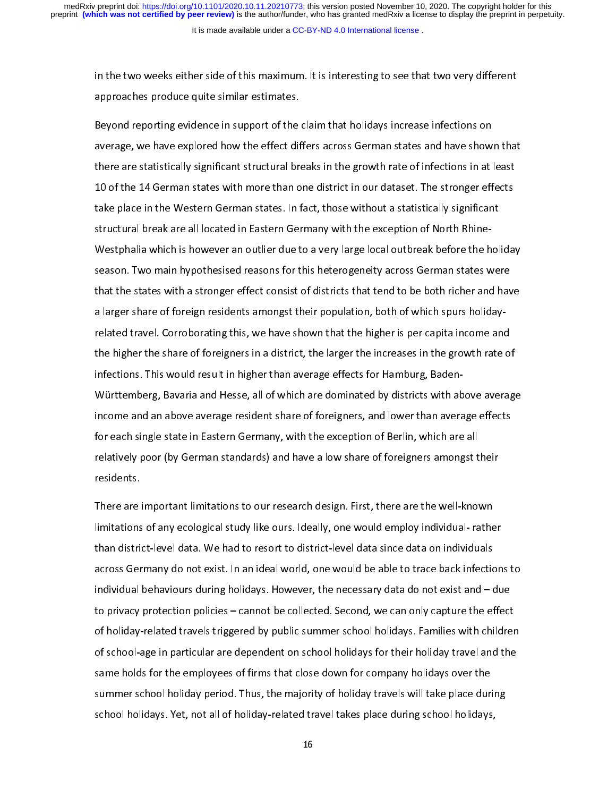in the two weeks either side of this maximum. It is interesting to see that two very different<br>approaches produce quite similar estimates. approaches produce quite similar estimates.

Beyond reporting evidence in support of the claim that holidays increase infections on<br>average, we have explored how the effect differs across German states and have shown that there are statistically significant structural breaks in the growth rate of infections in at least 10 of the 14 German states with more than one district in our dataset. The stronger effects take place in the Western German states. In fact, those without a statistically significant structural break are all located in Eastern Germany with the exception of North Rhine-Westphalia which is however an outlier due to a very large local outbreak before the holiday season. Two main hypothesised reasons for this heterogeneity across German states were that the states with a stronger effect consist of districts that tend to be both richer and have a larger share of foreign residents amongst their population, both of which spurs holidayrelated travel. Corroborating this, we have shown that the higher is per capita income and the higher the share of foreigners in a district, the larger the increases in the growth rate of infections. This would result in higher than average effects for Hamburg, Baden-Württemberg, Bavaria and Hesse, all of which are dominated by districts with above average income and an above average resident share of foreigners, and lower than average effects for each single state in Eastern Germany, with the exception of Berlin, which are all relatively poor (by German standards) and have a low share of foreigners amongst their  $r$  poor (by German standards) and have a low share of  $\mathcal{S}$  and have a low share of foreigners among the intervals the intervals of  $\mathcal{S}$ 

There are important limitations to our research design. First, there are the well-known than district-level data. We had to resort to district-level data since data on individuals across Germany do not exist. In an ideal world, one would be able to trace back infections to individual behaviours during holidays. However, the necessary data do not exist and  $-\frac{1}{2}$  due to privacy protection policies – cannot be collected. Second, we can only capture the effect of holiday-related travels triggered by public summer school holidays. Families with children of school-age in particular are dependent on school holidays for their holiday travel and the same holds for the employees of firms that close down for company holidays over the summer school holiday period. Thus, the majority of holiday travels will take place during school holidays. Yet, not all of holiday-related travel takes place during school holidays, school holidays. Yet, not all of holiday-related travel takes place during school holidays,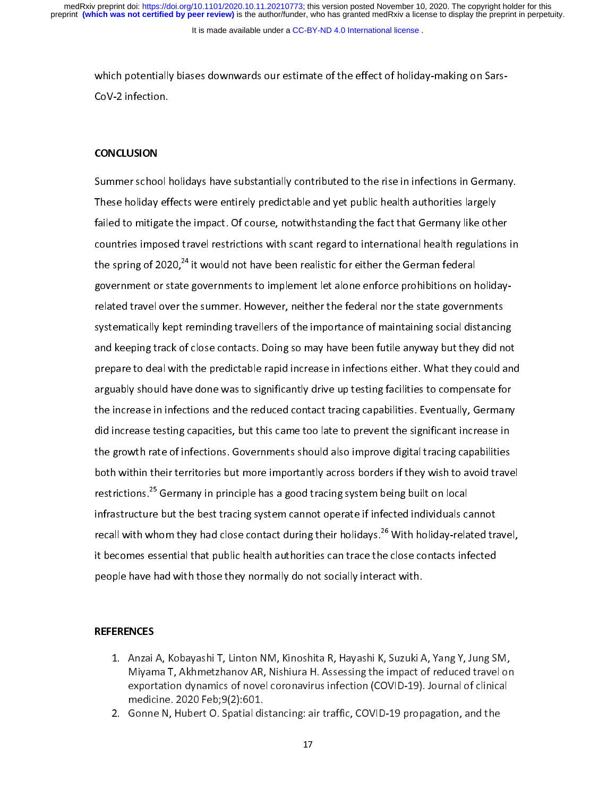It is made available under a [CC-BY-ND 4.0 International license](http://creativecommons.org/licenses/by-nd/4.0/) .

which potentially biases downwards our estimate of the effect of holiday-making on Sars-CoV-2 infection.

# **CONCLUSION**

Summer school holidays have substantially contributed to the rise in infections in Germany.<br>These holiday effects were entirely predictable and yet public health authorities largely failed to mitigate the impact. Of course, notwithstanding the fact that Germany like other countries imposed travel restrictions with scant regard to international health regulations in the spring of 2020,<sup>24</sup> it would not have been realistic for either the German federal government or state governments to implement let alone enforce prohibitions on holidayrelated travel over the summer. However, neither the federal nor the state governments systematically kept reminding travellers of the importance of maintaining social distancing and keeping track of close contacts. Doing so may have been futile anyway but they did not prepare to deal with the predictable rapid increase in infections either. What they could and arguably should have done was to significantly drive up testing facilities to compensate for the increase in infections and the reduced contact tracing capabilities. Eventually, Germany did increase testing capacities, but this came too late to prevent the significant increase in the growth rate of infections. Governments should also improve digital tracing capabilities both within their territories but more importantly across borders if they wish to avoid travel restrictions.<sup>25</sup> Germany in principle has a good tracing system being built on local infrastructure but the best tracing system cannot operate if infected individuals cannot recall with whom they had close contact during their holidays.<sup>26</sup> With holiday-related travel, it becomes essential that public health authorities can trace the close contacts infected people have had with those they normally do not socially interact with. people have had with those they normally do not socially interact with.

## **REFERENCES**

- 1. Anzai A, Kobayashi T, Linton NM, Kinoshita R, Hayashi K, Suzuki A, Yang Y, Jung SM, exportation dynamics of novel coronavirus infection (COVID-19). Journal of clinical medicine.  $2020$  Feb;  $9(2)$ : 601.
- 2. Gonne N, Hubert O. Spatial distancing: air traffic, COVID-19 propagation, and the  $\mathcal{L}$  distance n, Hubert O. Spatial distance  $\mathcal{L}$  propagation, and the theory propagation, and the theory propagation, and the theory propagation, and the theory propagation, and the theory propagation, and the the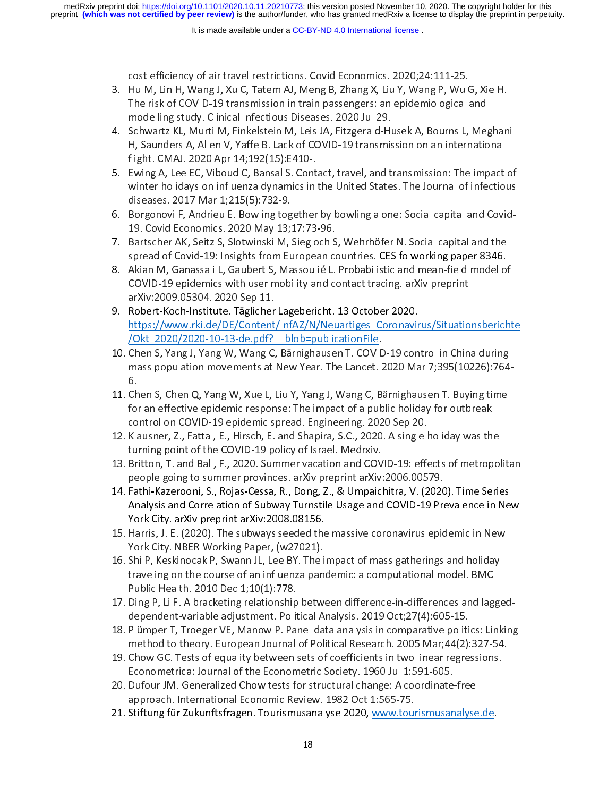- cost efficiency of air travel restrictions. Covid Economics. 2020;24:111-25. The risk of COVID-19 transmission in train passengers: an epidemiological and modelling study. Clinical Infectious Diseases. 2020 Jul 29.
- 4. Schwartz KL, Murti M, Finkelstein M, Leis JA, Fitzgerald-Husek A, Bourns L, Meghani H, Saunders A, Allen V, Yaffe B. Lack of COVID-19 transmission on an international flight. CMAJ. 2020 Apr 14; 192(15): E410-.
- 5. Ewing A, Lee EC, Viboud C, Bansal S. Contact, travel, and transmission: The impact of winter holidays on influenza dynamics in the United States. The Journal of infectious diseases. 2017 Mar 1;215(5):732-9.
- 6. Borgonovi F, Andrieu E. Bowling together by bowling alone: Social capital and Covid-19. Covid Economics. 2020 May 13;17:73-96.
- 7. Bartscher AK, Seitz S, Slotwinski M, Siegloch S, Wehrhöfer N. Social capital and the spread of Covid-19: Insights from European countries. CESIfo working paper 8346.
- 8. Akian M, Ganassali L, Gaubert S, Massoulié L. Probabilistic and mean-field model of COVID-19 epidemics with user mobility and contact tracing. arXiv preprint arXiv: 2009.05304. 2020 Sep 11.
- 9. Robert-Koch-Institute. Täglicher Lagebericht. 13 October 2020. https://www.rki.de/DE/Content/InfAZ/N/Neuartiges Coronavirus/Situationsberichte /Okt 2020/2020-10-13-de.pdf? blob=publicationFile.
- 10. Chen S, Yang J, Yang W, Wang C, Bärnighausen T. COVID-19 control in China during mass population movements at New Year. The Lancet. 2020 Mar 7;395(10226):764-<br>6. mass population movements at New Year. The Lancet. 2020 Mar 7;395(20226):764-4.<br>6.
- Ch for an effective epidemic response: The impact of a public holiday for outbreak control on COVID-19 epidemic spread. Engineering. 2020 Sep 20.
- 12. Klausner, Z., Fattal, E., Hirsch, E. and Shapira, S.C., 2020. A single holiday was the turning point of the COVID-19 policy of Israel. Medrxiv.
- 13. Britton, T. and Ball, F., 2020. Summer vacation and COVID-19: effects of metropolitan people going to summer provinces, arXiv preprint arXiv: 2006.00579.
- 14. Fathi-Kazerooni, S., Rojas-Cessa, R., Dong, Z., & Umpaichitra, V. (2020). Time Series Analysis and Correlation of Subway Turnstile Usage and COVID-19 Prevalence in New York City. arXiv preprint arXiv: 2008.08156.
- 15. Harris, J. E. (2020). The subways seeded the massive coronavirus epidemic in New York City. NBER Working Paper, (w27021).
- 16. Shi P, Keskinocak P, Swann JL, Lee BY. The impact of mass gatherings and holiday traveling on the course of an influenza pandemic: a computational model. BMC Public Health. 2010 Dec 1;10(1): 778.
- 17. Ding P, Li F. A bracketing relationship between difference-in-differences and laggeddependent-variable adjustment. Political Analysis. 2019 Oct;27(4):605-15.
- 18. Plümper T, Troeger VE, Manow P. Panel data analysis in comparative politics: Linking method to theory. European Journal of Political Research. 2005 Mar; 44(2):327-54.
- 19. Chow GC. Tests of equality between sets of coefficients in two linear regressions. Econometrica: Journal of the Econometric Society. 1960 Jul 1:591-605.
- 20. Dufour JM. Generalized Chow tests for structural change: A coordinate-free approach. International Economic Review. 1982 Oct 1:565-75.
- 21. Stiftung für Zukunftsfragen. Tourismusanalyse 2020, www.tourismusanalyse.de.  $21.5$  Subsection function function  $\frac{1}{2}$